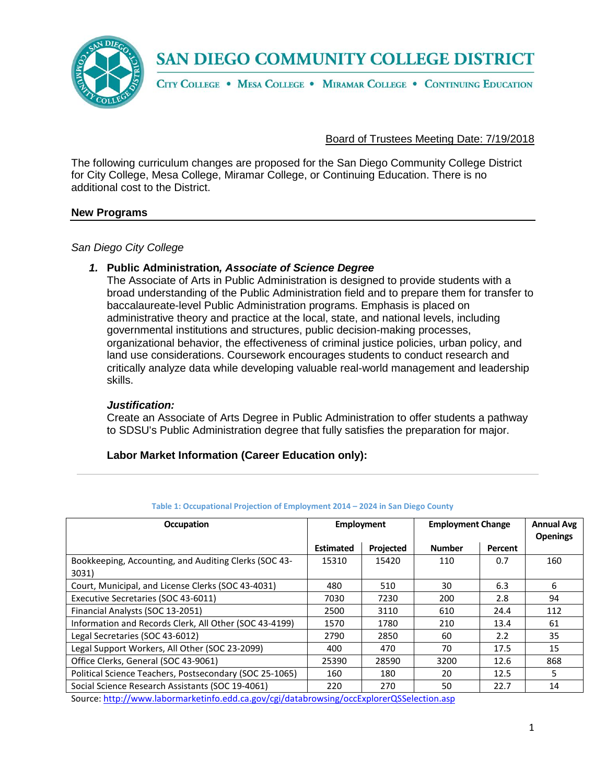

CITY COLLEGE . MESA COLLEGE . MIRAMAR COLLEGE . CONTINUING EDUCATION

#### Board of Trustees Meeting Date: 7/19/2018

The following curriculum changes are proposed for the San Diego Community College District for City College, Mesa College, Miramar College, or Continuing Education. There is no additional cost to the District.

#### **New Programs**

#### *San Diego City College*

#### *1.* **Public Administration***, Associate of Science Degree*

The Associate of Arts in Public Administration is designed to provide students with a broad understanding of the Public Administration field and to prepare them for transfer to baccalaureate-level Public Administration programs. Emphasis is placed on administrative theory and practice at the local, state, and national levels, including governmental institutions and structures, public decision-making processes, organizational behavior, the effectiveness of criminal justice policies, urban policy, and land use considerations. Coursework encourages students to conduct research and critically analyze data while developing valuable real-world management and leadership skills.

#### *Justification:*

Create an Associate of Arts Degree in Public Administration to offer students a pathway to SDSU's Public Administration degree that fully satisfies the preparation for major.

#### **Labor Market Information (Career Education only):**

| Occupation                                              | <b>Employment</b> |                  | <b>Employment Change</b> |         | <b>Annual Avg</b><br><b>Openings</b> |
|---------------------------------------------------------|-------------------|------------------|--------------------------|---------|--------------------------------------|
|                                                         | <b>Estimated</b>  | <b>Projected</b> | <b>Number</b>            | Percent |                                      |
| Bookkeeping, Accounting, and Auditing Clerks (SOC 43-   | 15310             | 15420            | 110                      | 0.7     | 160                                  |
| 3031)                                                   |                   |                  |                          |         |                                      |
| Court, Municipal, and License Clerks (SOC 43-4031)      | 480               | 510              | 30                       | 6.3     | 6                                    |
| Executive Secretaries (SOC 43-6011)                     | 7030              | 7230             | 200                      | 2.8     | 94                                   |
| Financial Analysts (SOC 13-2051)                        | 2500              | 3110             | 610                      | 24.4    | 112                                  |
| Information and Records Clerk, All Other (SOC 43-4199)  | 1570              | 1780             | 210                      | 13.4    | 61                                   |
| Legal Secretaries (SOC 43-6012)                         | 2790              | 2850             | 60                       | 2.2     | 35                                   |
| Legal Support Workers, All Other (SOC 23-2099)          | 400               | 470              | 70                       | 17.5    | 15                                   |
| Office Clerks, General (SOC 43-9061)                    | 25390             | 28590            | 3200                     | 12.6    | 868                                  |
| Political Science Teachers, Postsecondary (SOC 25-1065) | 160               | 180              | 20                       | 12.5    | 5                                    |
| Social Science Research Assistants (SOC 19-4061)        | 220               | 270              | 50                       | 22.7    | 14                                   |

#### **Table 1: Occupational Projection of Employment 2014 – 2024 in San Diego County**

Source[: http://www.labormarketinfo.edd.ca.gov/cgi/databrowsing/occExplorerQSSelection.asp](http://www.labormarketinfo.edd.ca.gov/cgi/databrowsing/occExplorerQSSelection.asp)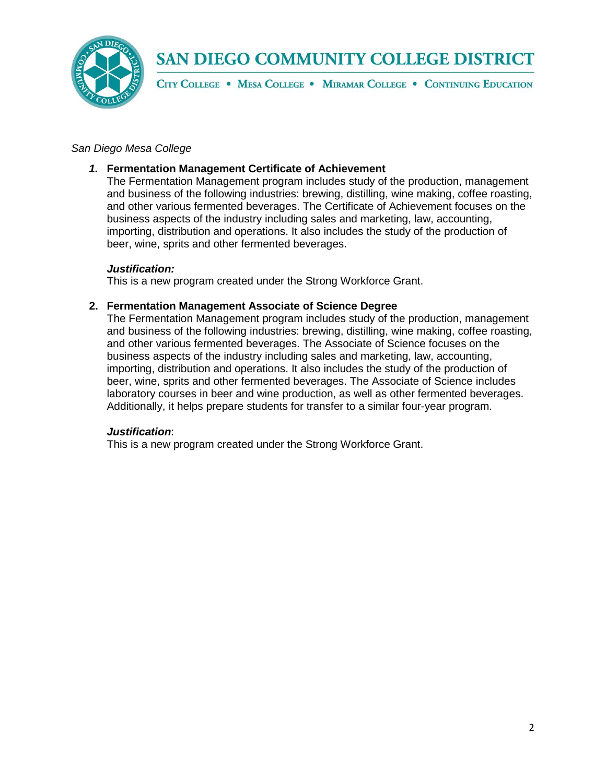

CITY COLLEGE . MESA COLLEGE . MIRAMAR COLLEGE . CONTINUING EDUCATION

#### *San Diego Mesa College*

#### *1.* **Fermentation Management Certificate of Achievement**

The Fermentation Management program includes study of the production, management and business of the following industries: brewing, distilling, wine making, coffee roasting, and other various fermented beverages. The Certificate of Achievement focuses on the business aspects of the industry including sales and marketing, law, accounting, importing, distribution and operations. It also includes the study of the production of beer, wine, sprits and other fermented beverages.

#### *Justification:*

This is a new program created under the Strong Workforce Grant.

#### **2. Fermentation Management Associate of Science Degree**

The Fermentation Management program includes study of the production, management and business of the following industries: brewing, distilling, wine making, coffee roasting, and other various fermented beverages. The Associate of Science focuses on the business aspects of the industry including sales and marketing, law, accounting, importing, distribution and operations. It also includes the study of the production of beer, wine, sprits and other fermented beverages. The Associate of Science includes laboratory courses in beer and wine production, as well as other fermented beverages. Additionally, it helps prepare students for transfer to a similar four-year program.

#### *Justification*:

This is a new program created under the Strong Workforce Grant.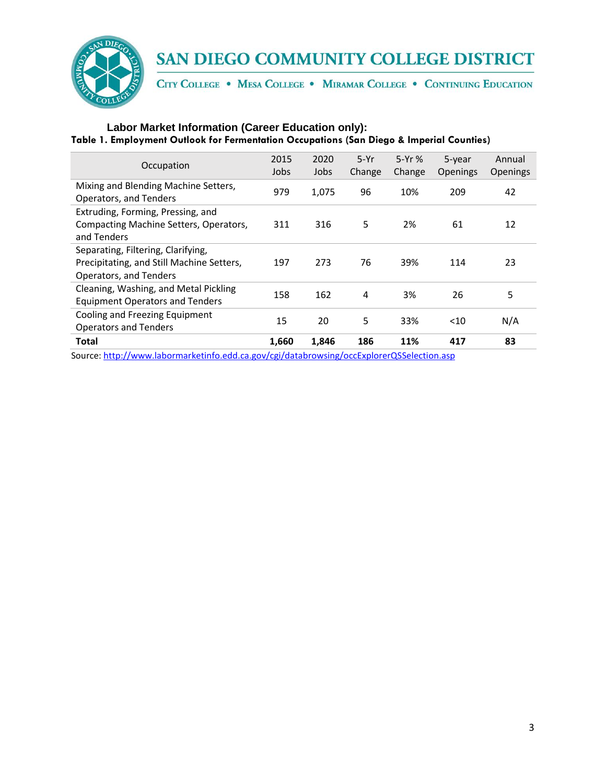

CITY COLLEGE . MESA COLLEGE . MIRAMAR COLLEGE . CONTINUING EDUCATION

### **Labor Market Information (Career Education only): Table 1. Employment Outlook for Fermentation Occupations (San Diego & Imperial Counties)**

| Occupation                                                                                                | 2015<br>Jobs | 2020<br>Jobs | $5-Yr$<br>Change | $5-Yr$ %<br>Change | 5-year<br><b>Openings</b> | Annual<br><b>Openings</b> |
|-----------------------------------------------------------------------------------------------------------|--------------|--------------|------------------|--------------------|---------------------------|---------------------------|
| Mixing and Blending Machine Setters,<br>Operators, and Tenders                                            | 979          | 1,075        | 96               | 10%                | 209                       | 42                        |
| Extruding, Forming, Pressing, and<br>Compacting Machine Setters, Operators,<br>and Tenders                | 311          | 316          | 5                | 2%                 | 61                        | 12                        |
| Separating, Filtering, Clarifying,<br>Precipitating, and Still Machine Setters,<br>Operators, and Tenders | 197          | 273          | 76               | 39%                | 114                       | 23                        |
| Cleaning, Washing, and Metal Pickling<br><b>Equipment Operators and Tenders</b>                           | 158          | 162          | 4                | 3%                 | 26                        | 5                         |
| Cooling and Freezing Equipment<br><b>Operators and Tenders</b>                                            | 15           | 20           | 5                | 33%                | $<$ 10                    | N/A                       |
| Total                                                                                                     | 1,660        | 1,846        | 186              | 11%                | 417                       | 83                        |
| Source: http://www.labormarketinfo.edd.ca.gov/cgi/databrowsing/occExplorerQSSelection.asp                 |              |              |                  |                    |                           |                           |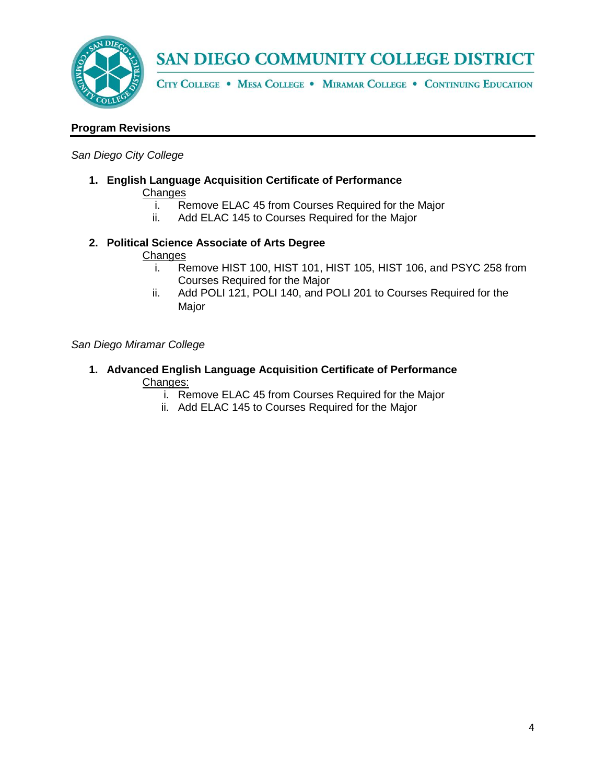

CITY COLLEGE . MESA COLLEGE . MIRAMAR COLLEGE . CONTINUING EDUCATION

#### **Program Revisions**

#### *San Diego City College*

**1. English Language Acquisition Certificate of Performance** Changes

- i. Remove ELAC 45 from Courses Required for the Major<br>ii. Add ELAC 145 to Courses Required for the Major
- Add ELAC 145 to Courses Required for the Major

### **2. Political Science Associate of Arts Degree**

# Changes<br>*i*<sub>Re</sub>

- $\overline{\text{Remove}}$  HIST 100, HIST 101, HIST 105, HIST 106, and PSYC 258 from Courses Required for the Major
- ii. Add POLI 121, POLI 140, and POLI 201 to Courses Required for the Major

#### *San Diego Miramar College*

- **1. Advanced English Language Acquisition Certificate of Performance** Changes:
	- i. Remove ELAC 45 from Courses Required for the Major
	- ii. Add ELAC 145 to Courses Required for the Major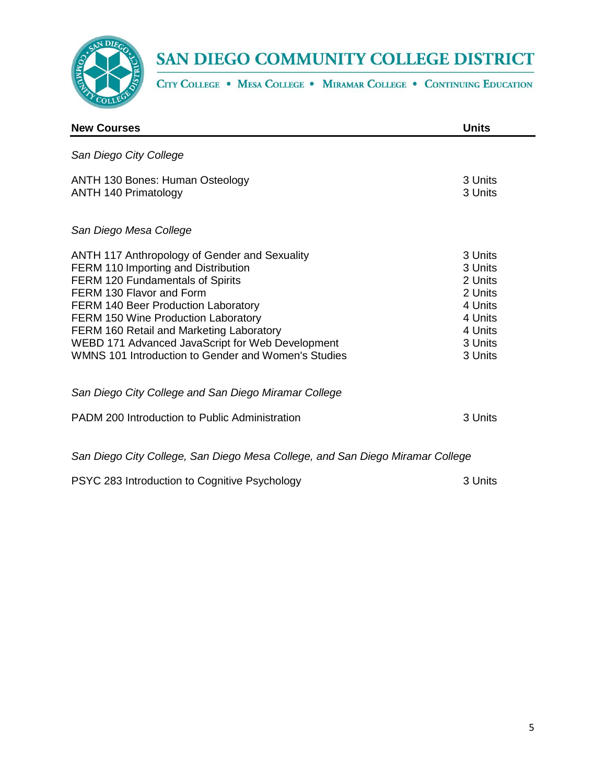

CITY COLLEGE . MESA COLLEGE . MIRAMAR COLLEGE . CONTINUING EDUCATION

| <b>New Courses</b>                                                                                                                                                                                                                                                                                                                                                                                      | <b>Units</b>                                                                                    |  |  |  |
|---------------------------------------------------------------------------------------------------------------------------------------------------------------------------------------------------------------------------------------------------------------------------------------------------------------------------------------------------------------------------------------------------------|-------------------------------------------------------------------------------------------------|--|--|--|
| San Diego City College                                                                                                                                                                                                                                                                                                                                                                                  |                                                                                                 |  |  |  |
| <b>ANTH 130 Bones: Human Osteology</b><br><b>ANTH 140 Primatology</b>                                                                                                                                                                                                                                                                                                                                   | 3 Units<br>3 Units                                                                              |  |  |  |
| San Diego Mesa College                                                                                                                                                                                                                                                                                                                                                                                  |                                                                                                 |  |  |  |
| <b>ANTH 117 Anthropology of Gender and Sexuality</b><br>FERM 110 Importing and Distribution<br>FERM 120 Fundamentals of Spirits<br>FERM 130 Flavor and Form<br><b>FERM 140 Beer Production Laboratory</b><br>FERM 150 Wine Production Laboratory<br>FERM 160 Retail and Marketing Laboratory<br>WEBD 171 Advanced JavaScript for Web Development<br>WMNS 101 Introduction to Gender and Women's Studies | 3 Units<br>3 Units<br>2 Units<br>2 Units<br>4 Units<br>4 Units<br>4 Units<br>3 Units<br>3 Units |  |  |  |
| San Diego City College and San Diego Miramar College                                                                                                                                                                                                                                                                                                                                                    |                                                                                                 |  |  |  |
| PADM 200 Introduction to Public Administration                                                                                                                                                                                                                                                                                                                                                          | 3 Units                                                                                         |  |  |  |
| San Diego City College, San Diego Mesa College, and San Diego Miramar College                                                                                                                                                                                                                                                                                                                           |                                                                                                 |  |  |  |
| PSYC 283 Introduction to Cognitive Psychology                                                                                                                                                                                                                                                                                                                                                           | 3 Units                                                                                         |  |  |  |